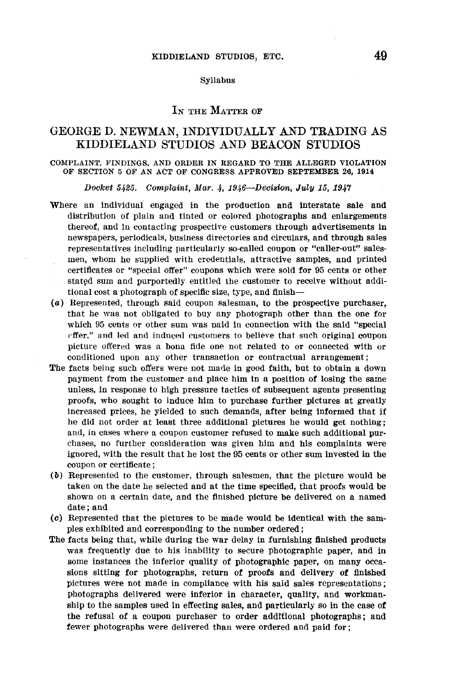#### Syllabus

# IN THE MATTER OF

# GEORGE D. NEWMAN, INDIVIDUALLY AND TRADING AS KIDDIELAND STUDIOS AND BEACON STUDIOS

#### COMPLAINT, FINDINGS, AND ORDER IN REGARD TO THE ALLEGED VIOLATION OF SECTION 5 OF AN ACT OF CONGRESS APPROVED SEPTEMBER 26, 1914

Docket 5425. Complaint, Mar. 4, 1946—Decision, July 15, 1947

- Where an individuai engaged in the production and interstate sale and distribution of plain and tinted or colored photographs and enlargements thereof, and in contacting prospective customers through advertisements in newspapers, periodicals, business directories and circulars, and through sales representatives including particularly so-called coupon or "caller-out" salesmen, whom he supplied with credentials, attractive samples, and printed certificates or "special offer" coupons which were sold for 95 cents or other stated sum and purportedly entitled the customer to receive without additional cost a photograph of specific size, type, and finish-
- ( a) Represented, through said coupon salesman, to the prospective purchaser, that he was not obligated to buy any photograph other than the one for which 95 cents or other sum was oaid in connection with the said "special cffer." and led and induce<l customers to believe that such original coupon picture offered was a bona fide one not related to or connected with or conditioned upon any other transaction or contractual arrangement ;
- The facts being such offers were not made in good faith, but to obtain a down payment from the customer and place him in a position of losing the same unless, in response to high pressure tactics of subsequent agents presenting proofs, who sought to induce him to purchase further pictures at greatly increased prices, he yielded to such demands, after being informed that if he did not order at least three additional pictures he would get nothing; and, in cases where a coupon customer refused to make such additional purchases, no further consideration was given him and his complaints were ignored, with the result that he lost the 95 cents or other sum invested in the coupon or certificate;
- (b) Represented to the customer, through salesmen, that the picture would be taken on the date he selected and at the time specified, that proofs would be shown on a certain date, and the finished picture be delivered on a named date; and
- (c) Represented that the pictures to be made would be identical with the samples exhibited and corresponding to the number ordered;
- **The** facts being that, while during the war delay in furnishing finished products was frequently due to his inability to secure photographic paper, and in some instances the inferior quality of photographic paper, on many occasions sitting for photographs, return of proofs and delivery of finished pictures were not made in compliance with his said sales representations ; photographs delivered were inferior in character, quality, and workmanship to the samples used in effecting sales, and particularly so in the case **of**  the refusal of a coupon purchaser to order additional photographs ; and fewer photographs were delivered than were ordered and paid for;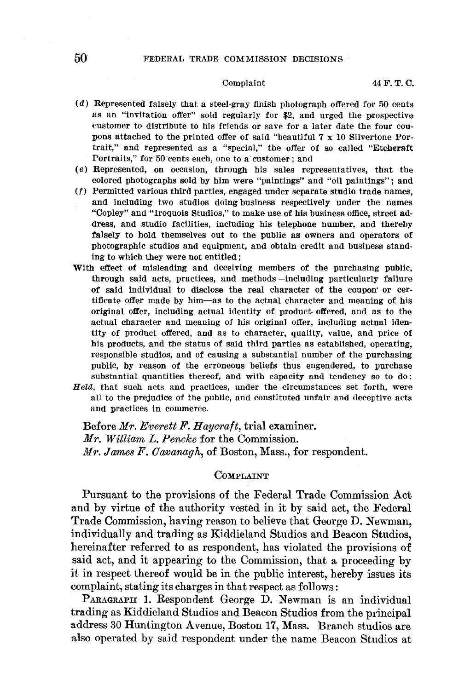- $(d)$  Represented falsely that a steel-gray finish photograph offered for 50 cents as an "invitation offer" sold regularly for \$2, and urged the prospective customer to distribute to his friends or save for a later date the four coupons attached to the printed offer of said "beautiful **7 x** 10 Silvertone Portrait," and represented as a "special," the offer of so called "Etcheraft Portraits," for 50 cents each, one to a customer; and
- ( e) Represented, on occasion, through his sales representatives, that the colored photographs sold by him were "paintings" and "oil paintings"; and
- ( *f)* Permitted various third parties, engaged under separate studio trade names,
- and including two studios doing business respectively under the names "Copley" and "Iroquois Studios," to make use of his business office, street **ad**dress, and studio facilities, including his telephone number, and thereby falsely to hold themselves out to the public as owners and operators of photographic studios and equipment, and obtain credit and business standing to which they were not entitled;
- With effect of misleading and deceiving members of the purchasing public, through said acts, practices, and methods-including particularly failure of said individual to disclose the real character of the coupon· or certificate offer made by him-as to the actual character and meaning of his original offer, including actual identity of product. offered, and as to the actual character and meaning of his original offer, including actual identity of product offered, and as to character, quality, value, and price of his products, and the status of said third parties as established, operating, responsible studios, and of causing a substantial number of the purchasing public, by reason of the erroneous beliefs thus engendered, to purchase substantial quantities thereof, and with capacity and tendency so to do:
- *Held,* that suoh acts and practices, under the circumstances set forth, were all to the prejudice of the public, and constituted unfair and deceptive acts and practices in commerce.

Before *Mr. Everett F. Haycraft,* trial examiner. *Mr. William L. Pencke* for the Commission. *Mr. Jmmes* F. *Cavanagh,* of Boston, Mass., for respondent.

# **COMPLAINT**

Pursuant to the provisions of the Federal Trade Commission Act and by virtue of the authority vested in it by said act, the Federal Trade Commission, having reason to believe that George D. Newman, individually and trading as Kiddieland Studios and Beacon Studios, hereinafter referred to as respondent, has violated the provisions of said act, and it appearing to the Commission, that a proceeding by it in respect thereof would be in the public interest, hereby issues its complaint, stating its charges in that respect as follows:

PARAGRAPH 1. Respondent George D. Newman is an individual trading as Kiddieland Studios and Beacon Studios from the principal address 30 Huntington Avenue, Boston 17, Mass. Branch studios are also operated by said respondent under the name Beacon Studios at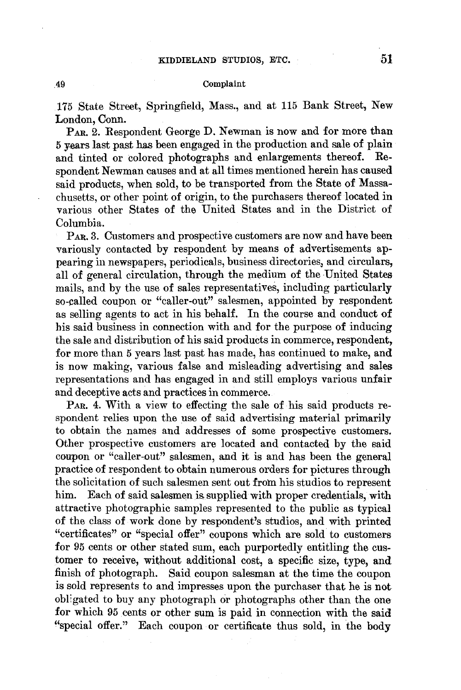## .49 Complaint

175 State Street, Springfield, Mass., and at 115 Bank Street, New London, Conn.

**PAR.** 2. Respondent George **D.** Newman is now and for more than 5 years last past has been engaged in the production and sale of plain and tinted or colored photographs and enlargements thereof. Respondent Newman causes and at all times mentioned herein has caused said products, when sold, to be transported from the State of Massachusetts, or other point of origin, to the purchasers thereof located in various other States of the United States and in the District of Columbia.

PAR. 3. Customers and prospective customers are now and have been variously contacted by respondent by means of advertisements appearing in newspapers, periodicals, business directories, and circulars, all of general circulation, through the medium of the United States mails, and by the use of sales representatives, including particularly so-called coupon or "caller-out" salesmen, appointed by respondent as selling agents to act in his behalf. In the course and conduct **of**  his said business in connection with and for the purpose of inducing the sale and distribution of his said products in commerce, respondent, for more than 5 years last past has made, has continued to make, and is now making, various false and misleading advertising and sales representations and has engaged in and still employs various unfair and deceptive acts and practices in commerce.

PAR. 4. With a view to effecting the sale of his said products respondent relies upon the use of said advertising material primarily to obtain the names and addresses of some prospective customers. Other prospective customers are located and contacted by the said coupon or "caller-out" salesmen, and it is and has been the general practice of respondent to obtain numerous orders for pictures through the solicitation of such salesmen sent out from his studios to represent him. Each of said salesmen is supplied with proper credentials, with attractive photographic samples represented to the public as typical of the class of work done by respondent's studios, and with printed "certificates" or "special offer" coupons which are sold to customers for 95 cents or other stated sum, each purportedly entitling the customer to receive, without additional cost, a specific size, type, and finish of photograph. Said coupon salesman at the time the coupon is sold represents to and impresses upon the purchaser that he is not obligated to buy any photograph or photographs other than the one for which 95 cents or other sum is paid in connection with the said "special offer." Each coupon or certificate thus sold, in the body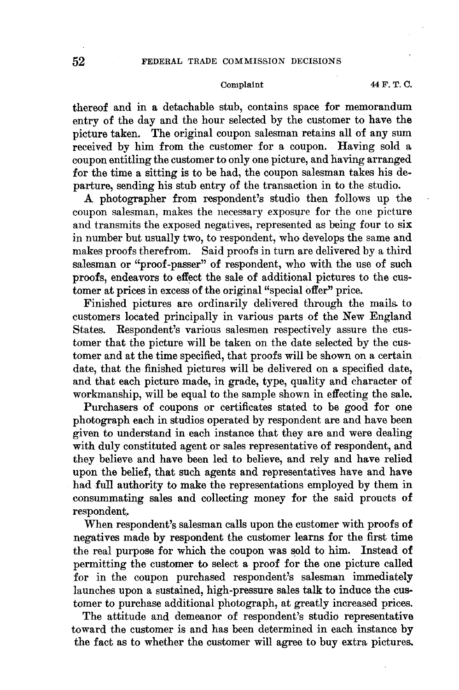## Complaint 44 F. T. C.

thereof and in a detachable stub, contains space for memorandum entry of the day and the hour selected by the customer to have the picture taken. The original coupon salesman retains all of any sum received by him from the customer for a coupon. Having sold a coupon entitling the customer to only one picture, and having arranged for the time a sitting is to be had, the coupon salesman takes his departure, sending his stub entry of the transaction in to the studio.

A photographer from respondent's studio then follows up the coupon salesman, makes the necessary exposure for the one picture and transmits the exposed negatives, represented as being four to six in number but usually two, to respondent, who develops the same and makes proofs therefrom. Said proofs in turn are delivered by a third salesman or "proof-passer" of respondent, who with the use of such proofs, endeavors to effect the sale of additional pictures to the customer at prices in excess of the original "special offer" price.

Finished pictures are ordinarily delivered through the mails. to customers located principally in various parts of the New England States. Respondent's various salesmen respectively assure the customer that the picture will be taken on the date selected by the customer and at the time specified, that proofs will be shown on a certain date, that the finished pictures will be delivered on a specified date, and that each picture made, in grade, type, quality and character of workmanship, will be equal to the sample shown in effecting the sale.

Purchasers of coupons or certificates stated to be good for one photograph each in studios operated by respondent are and have been given to understand in each instance that they are and were dealing with duly constituted agent or sales representative of respondent, and they believe and have been led to believe, and rely and have relied upon the belief, that such agents and representatives have and have had full authority to make the representations employed by them in consummating sales and collecting money for the said proucts of respondent,

When respondent's salesman calls upon the customer with proofs **of**  negatives made by respondent the customer learns for the first time the real purpose for which the coupon was sold to him. Instead of permitting the customer to select a proof for the one picture called for in the coupon purchased respondent's salesman immediately launches upon a sustained, high-pressure sales talk to induce the customer to purchase additional photograph, at greatly increased prices.

The attitude and demeanor of respondent's studio representative toward the customer is and has been determined in each instance **by**  the fact as to whether the customer **will** agree to buy extra pictures.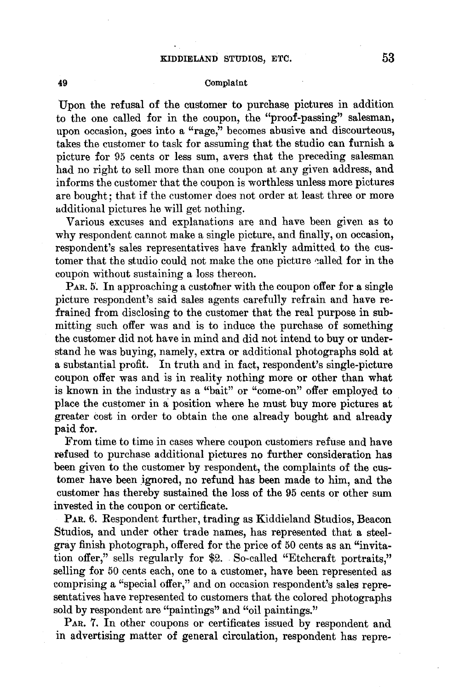### Complaint

Upon the refusal of the customer to purchase pictures in addition to the one called for in the coupon, the "proof-passing" salesman, upon occasion, goes into a "rage," becomes abusive and discourteous. takes the customer to task for assuming that the studio can furnish a picture for 95 cents or less sum, avers that the preceding salesman had no right to sell more than one coupon at any given address, and informs the customer that the coupon is worthless unless more pictures are bought; that if the customer does not order at least three or more additional pictures he will get nothing.

Various excuses and explanations are and have been given as to why respondent cannot make a single picture, and finally, on occasion, respondent's sales representatives have frankly admitted to the customer that the studio could not make the one picture called for in the coupon without sustaining a loss thereon.

 $P_{AR}$ . 5. In approaching a customer with the coupon offer for a single picture respondent's said sales agents carefully refrain and have refrained from disclosing to the customer that the real purpose in submitting such offer was and is to induce the purchase of something the customer did not have in mind and did not intend to buy or understand he was buying, namely, extra or additional photographs sold at a substantial profit. In truth and in fact, respondent's single-picture coupon offer was and is in reality nothing more or other than what is known in the industry as a "bait" or "come-on" offer employed to place the customer in a position where he must buy more pictures at greater cost in order to obtain the one already bought and already **paid for.** 

From time to time in cases where coupon customers refuse and have refused to purchase additional pictures no further consideration has been given to the customer by respondent, the complaints of the customer have been ignored, no refund has been made to him, and the customer has thereby sustained the loss of the 95 cents or other sum invested in the coupon or certificate.

**PAR.** 6. Respondent further, trading as Kiddieland Studios, Beacon Studios, and under other trade names, has represented that a steelgray finish photograph, offered for the price of 50 cents as an "invitation offer," sells regularly for \$2. So-called "Etchcraft portraits," selling for 50 cents each, one to a customer, have been represented as comprising a "special offer," and on occasion respondent's sales representatives have represented to customers that the colored photographs sold by respondent are "paintings" and "oil paintings.''

PAR. 7. In other coupons or certificates issued by respondent and in advertising matter of general circulation, respondent has repre-

**49**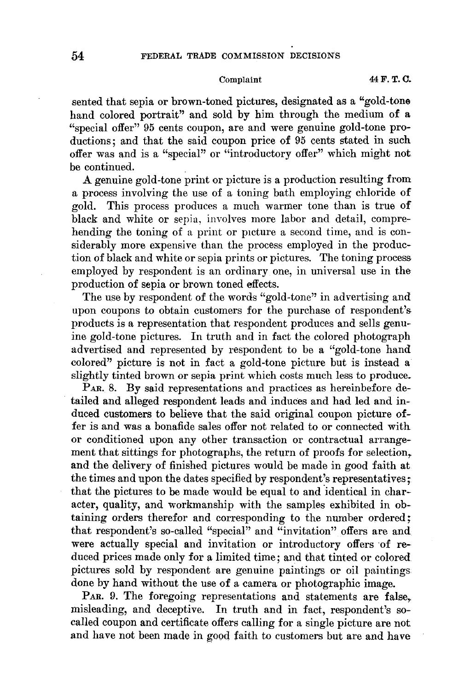sented that sepia or brown-toned pictures, designated as a "gold-tone hand colored portrait" and sold by him through the medium of a "special offer" 95 cents coupon, are and were genuine gold-tone productions; and that the said coupon price of 95 cents stated in such offer was and is a "special" or "introductory offer" which might not be continued.

A genuine gold-tone print or picture is a production resulting from a process involving the use of a toning bath employing chloride of gold. This process produces a much warmer tone than is true of black and white or sepia, involves more labor and detail, comprehending the toning of a print or picture a second time, and is considerably more expensive than the process employed in the production of black and white or sepia prints or pictures. The toning process employed by respondent is an ordinary one, in universal use in the production of sepia or brown toned effects.

The use by respondent of the words "gold-tone" in advertising and upon coupons to obtain customers for the purchase of respondent's products is a representation that respondent produces and sells genuine gold-tone pictures. In truth and in fact the colored photograph advertised and represented by respondent to be a "gold-tone hand colored" picture is not in fact a gold-tone picture but is instead a slightly tinted brown or sepia print which costs much less to produce.

PAR. 8. By said representations and practices as hereinbefore detailed and alleged respondent leads and induces and had led and induced customers to believe that the said original coupon picture offer is and was a bonafide sales offer not related to or connected with. or conditioned upon any other transaction or contractual arrangement that sittings for photographs, the return of proofs for selection, and the delivery of finished pictures would be made in good faith at the times and upon the dates specified by respondent's representatives; that the pictures to be made would be equal to and identical in character, quality, and workmanship with the samples exhibited in obtaining orders therefor and corresponding to the number ordered; that respondent's so-called "special" and "invitation" offers are and were actually special and invitation or introductory offers of reduced prices made only for a limited time; and that tinted or colored pictures sold by respondent are genuine paintings or oil paintings done by hand without the use of a camera or photographic image.

PAR. 9. The foregoing representations and statements are false, misleading, and deceptive. In truth and in fact, respondent's socalled coupon and certificate offers calling for a single picture are not and have not been made in good faith to customers but are and have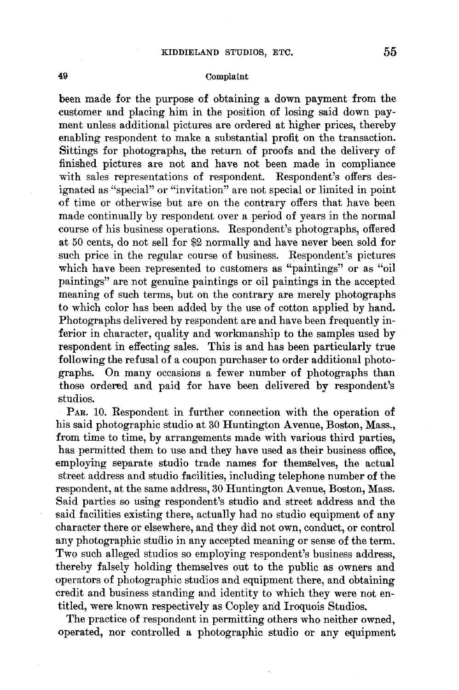### Complaint

been made for the purpose of obtaining a down payment from the customer and placing him in the position of losing said down payment unless additional pictures are ordered at higher prices, thereby enabling respondent to make a substantial profit on the transaction. Sittings for photographs, the return of proofs and the delivery of finished pictures are not and have not been made in compliance with sales representations of respondent. Respondent's offers designated as "special" or "invitation" are not special or limited in point of time or otherwise but are on the contrary offers that have been made continually by respondent over a period of years in the normal course of his business operations. Respondent's photographs, offered at 50 cents, do not sell for \$2 normally and have never been sold for such price in the regular course of business. Respondent's pictures which have been represented to customers as "paintings" or as "oil paintings" are not genuine paintings or oil paintings in the accepted meaning of such terms, but on the contrary are merely photographs to which color has been added by the use of cotton applied by hand. Photographs delivered by respondent are and have been frequently inferior in character, quality and workmanship to the samples used by respondent in effecting sales. This is and has been particularly true following the refusal of a coupon purchaser to order additional photographs. On many occasions a fewer number of photographs than those ordered and paid for have been delivered by respondent's studios.

PAR. 10. Respondent in further connection with the operation of his said photographic studio at 30 Huntington A venue, Boston, Mass., from time to time, by arrangements made with various third parties, has permitted them to use and they have used as their business office, employing separate studio trade names for themselves, the actual street address and studio facilities, including telephone number of the respondent, at the same address, 30 Huntington A venue, Boston, Mass. Said parties so using respondent's studio and street address and the said facilities existing there, actually had no studio equipment of any character there or elsewhere, and they did not own, conduct, or control any photographic studio in any accepted meaning or sense of the term. Two such alleged studios so employing respondent's business address, thereby falsely holding themselves out to the public as owners and operators of photographic studios and equipment there, and obtaining credit and business standing and identity to which they were not entitled, were known respectively as Copley and Iroquois Studios.

The practice of respondent in permitting others who neither owned, operated, nor controlled a photographic studio or any equipment

**49**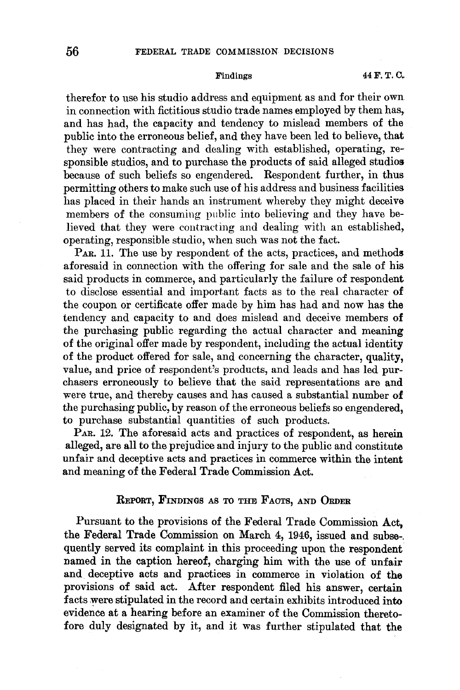therefor to use his studio address and equipment as and for their own in connection with fictitious studio trade names employed by them has, and has had, the capacity and tendency to mislead members of the public into the erroneous belief, and they have been led to believe, that they were contracting and dealing with established, operating, responsible studios, and to purchase the products of said alleged studios because of such beliefs so engendered. Respondent further, in thus permitting others to make such use of his address and business facilities has placed in their hands an instrument whereby they might deceive members of the consuming public into believing and they have believed that they were contracting and dealing with an established, operating, responsible studio, when such was not the fact.

PAR. 11. The use by respondent of the acts, practices, and methods aforesaid in connection with the offering for sale and the sale of his said products in commerce, and particularly the failure of respondent to disclose essential and important facts as to the real character of the coupon or certificate offer made by him has had and now has the tendency and capacity to and does mislead and deceive members **of**  the purchasing public regarding the actual character and meaning of the original offer made by respondent, including the actual identity of the product offered for sale, and concerning the character, quality, value, and price of respondent's products, and leads and has led purchasers erroneously to believe that the said representations are and were true, and thereby causes and has caused a substantial number **of**  the purchasing public, by reason of the erroneous beliefs so engendered, to purchase substantial quantities of such products.

PAR. 12. The aforesaid acts and practices of respondent, as herein alleged, are all to the prejudice and injury to the public and constitute unfair and deceptive acts and practices in commerce within the intent and meaning of the Federal Trade Commission Act.

## REFORT, FINDINGS AS TO THE FACTS, AND ORDER

Pursuant to the provisions of the Federal Trade Commission Act, the Federal Trade Commission on March 4, 1946, issued and subse-. quently served its complaint in this proceeding upon the respondent named in the caption hereof, charging him with the use of unfair and deceptive acts and practices in commerce in violation of the provisions of said act. After respondent filed his answer, certain facts were stipulated in the record and certain exhibits introduced into evidence at a hearing before an examiner of the Commission theretofore duly designated by it, and it was further stipulated that the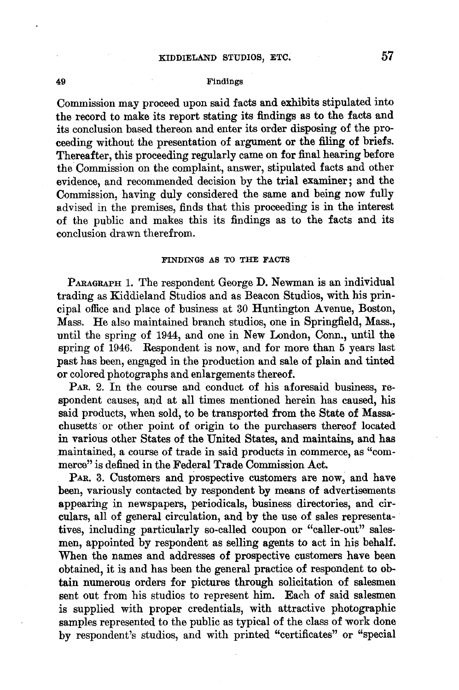## 49 Findings

Commission may proceed upon said facts and exhibits stipulated into the record to make its report stating its findings as to the facts and its conclusion based thereon and enter its order disposing of the proceeding without the presentation of argument or the filing of briefs. Thereafter, this proceeding regularly came on for final hearing before the Commission on the complaint, answer, stipulated facts and other evidence, and recommended decision by the trial examiner; and the Commission, having duly considered the same and being now fully advised in the premises, finds that this proceeding is in the interest of the public and makes this its findings as to the facts and its conclusion drawn therefrom.

### FINDINGS AS TO THE FACTS

PARAGRAPH 1. The respondent George D. Newman is an individual trading as Kiddieland Studios and as Beacon Studios, with his principal office and place of business at 30 Huntington Avenue, Boston, Mass. He also maintained branch studios, one in Springfield, Mass., until the spring of 1944, and one in New London, Conn., until the spring of 1946. Respondent is now, and for more than 5 years last past has been, engaged in the production and sale of plain and tinted or colored photographs and enlargements thereof.

PAR. 2. In the course and conduct of his aforesaid business, respondent causes, and at all times mentioned herein has caused, his said products, when sold, to be transported from the State of Massachusetts or other point of origin to the purchasers thereof located in various other States of the United States, and maintains, and has maintained, a course of trade in said products in commerce, as "commerce" is defined in the Federal Trade Commission Act.

PAR. 3. Customers and prospective customers are now, and have been, variously contacted by respondent by means of advertisements appearing in newspapers, periodicals, business directories, and circulars, all of general circulation, and by the use of sales representatives, including particularly so-called coupon or "caller-out" salesmen, appointed by respondent as selling agents to act in his behalf. When the names and addresses of prospective customers have been obtained, it is and has been the general practice of respondent to obtain numerous orders for pictures through solicitation of salesmen sent out from his studios to represent him. Each of said salesmen is supplied with proper credentials, with attractive photographic samples represented to the public as typical of the class of work done by respondent's studios, and with printed "certificates" or "special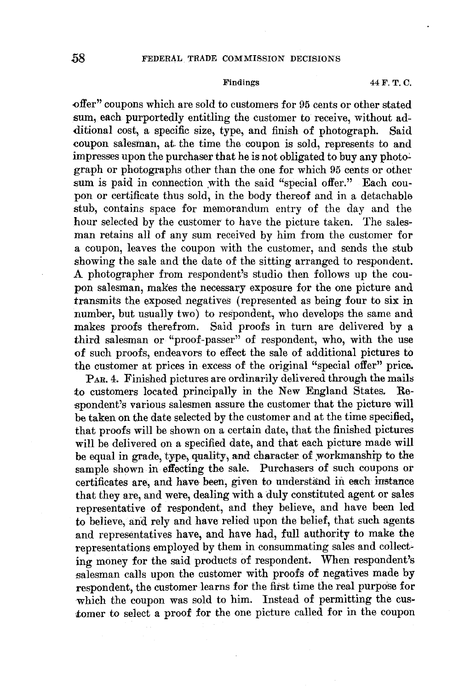-offer" coupons which are sold to customers for 95 cents or other stated sum, each purportedly entitling the customer to receive, without additional cost, a specific size, type, and finish of photograph. Said -coupon salesman, at. the time the coupon is sold, represents to and impresses upon the purchaser that he is not obligated to buy any photograph or photographs other than the one for which 95 cents or other sum is paid in connection with the said "special offer." Each coupon or certificate thus sold, in the body thereof and in a detachable stub, contains space for memorandum entry of the day and the hour selected by the customer to have the picture taken. The salesman retains all of any sum received by him from the customer for a coupon, leaves the coupon with the customer, and sends the stub showing the sale and the date of the sitting arranged to respondent. A photographer from respondent's studio then follows up the coupon salesman, makes the necessary exposure for the one picture and transmits the exposed negatives ( represented as being four to six in number, but usually two) to respondent, who develops the same and makes proofs therefrom. Said proofs in turn are delivered by a third salesman or "proof-passer" of respondent, who, with the use of such proofs, endeavors to effect the sale of additional pictures to the customer at prices in excess of the original "special offer" price.

PAR. 4. Finished pictures are ordinarily delivered through the mails to customers located principally in the New England States. Respondent's various salesmen assure the customer that the picture will be taken on the date selected by the customer and at the time specified, that proofs will be shown on a certain date, that the finished pictures will be delivered on a specified date, and that each picture made will be equal in grade, type, quality, and character of workmanship to the sample shown in effecting the sale. Purchasers of such coupons ot certificates are, and have- been, given to nndersfand in each instance that they are, and were, dealing with a duly constituted agent or sales representative of respondent, and they believe, and have been led to believe, and rely and have relied upon the belief, that such agents and representatives have, and have had, full authority to make the representations employed by them in consummating sales and collecting money for the said products of respondent. When respondent's salesman calls upon the customer with proofs of negatives made by respondent, the customer learns for the first time the real purpose for which the coupon was sold to him. Instead of permitting the customer to select a proof for the one picture called for in the coupon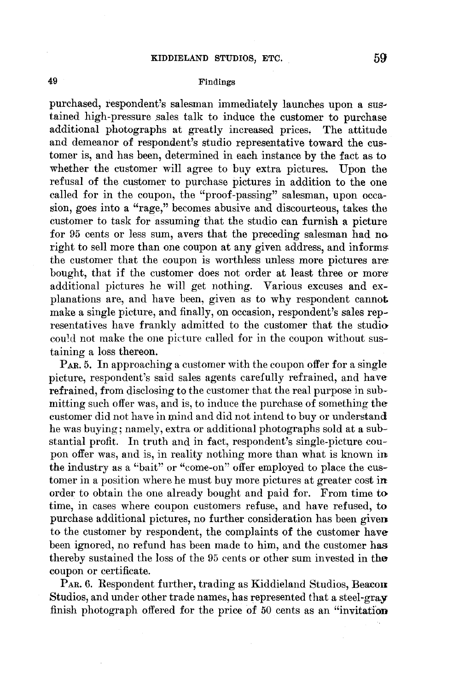## Findings

purchased, respondent's salesman immediately launches upon a sustained high-pressure sales talk to induce the customer to purchase additional photographs at greatly increased prices. The attitude and demeanor of respondent's studio representative toward the customer is, and has been, determined in each instance by the fact as to whether the customer will agree to buy extra pictures. Upon the refusal of the customer to purchase pictures in addition to the one called for in the coupon, the "proof-passing" salesman, upon occasion, goes into a "rage," becomes abusive and discourteous, takes the customer to task for assuming that the studio can furnish a picture for 95 cents or less sum, avers that the preceding salesman had no right to sell more than one coupon at any given address, and informs the customer that the coupon is worthless unless more pictures are. bought, that if the customer does not order at least three or moreadditional pictures he will get nothing. Various excuses and explanations are, and have been, given as to why respondent cannot make a single picture, and finally, on occasion, respondent's sales representatives have frankly admitted to the customer that the studio could not make the one picture called for in the coupon without sustaining a loss thereon.

P<sub>AR</sub>. 5. In approaching a customer with the coupon offer for a single picture, respondent's said sales agents carefully refrained, and have refrained, from disclosing to the customer that the real purpose in submitting such offer was, and is, to induce the purchase of something the customer did not have in mind and did not intend to buy or understand he was buying; namely, extra or additional photographs sold at a substantial profit. In truth and in fact, respondent's single-picture coupon offer was, and is, in reality nothing more than what is known **in**  the industry as a "bait" or "come-on" offer employed to place the customer in a position where he must buy more pictures at greater cost **in**  order to obtain the one already bought and paid for. From time **to**  time, in cases where coupon customers refuse, and have refused, to purchase additional pictures, no further consideration has been given to the customer by respondent, the complaints of the customer have been ignored, no refund has been made to him, and the customer has thereby sustained the loss of the 95 cents or other sum invested in the coupon or certificate.

PAR. 6. Respondent further, trading as Kiddieland Studios, Beacon Studios, and under other trade names, has represented that a steel-gray finish photograph offered for the price of 50 cents as an "invitation

**49**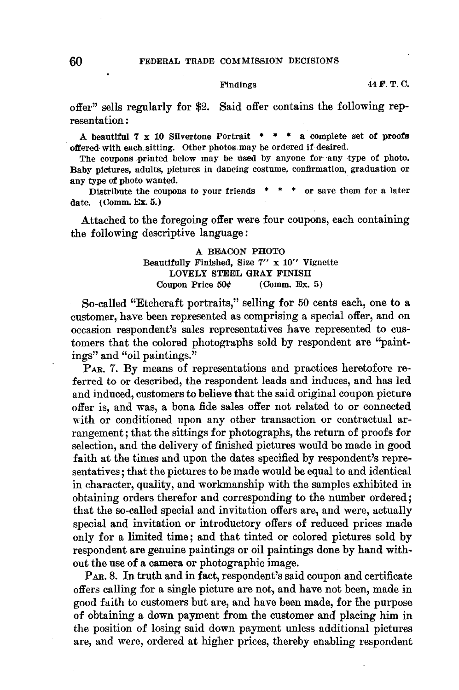### 60 FEDERAL TRADE COMMISSION DECISIONS

### Findings

offer" sells regularly for \$2. Said offer contains the following representation :

A beautiful  $7 \times 10$  Silvertone Portrait  $* * * a$  complete set of proofs offered with each sitting. Other photos may be ordered if desired.

The coupons printed below may be used by anyone for any type of photo. Baby pictures, adults, pictures in dancing costume, confirmation, graduation or any type of photo wanted.

Distribute the coupons to your friends  $* * *$  or save them for a later date. (Comm. Ex. 5.)

Attached to the foregoing offer were four coupons, each containing the following descriptive language:

# A BEACON PHOTO Beautifully Finished, Size **7"** x 10" Vignette LOVELY STEEL **GRAY** FINISH Coupon Price  $50¢$  (Comm. Ex. 5)

So-called "Etchcraft portraits," selling for 50 cents each, one to a customer, have been represented as comprising a special offer, and on occasion respondent's sales representatives have represented to customers that the colored photographs sold by respondent are "paintings" and "oil paintings."

 $P_{AR}$ . 7. By means of representations and practices heretofore referred to or described, the respondent leads and induces, and has led and induced, customers to believe that the said original coupon picture offer is, and was, a bona fide sales offer not related to or connected with or conditioned upon any other transaction or contractual arrangement; that the sittings for photographs, the return of proofs for selection, and the delivery of finished pictures would be made in good faith at the times and upon the dates specified by respondent's representatives; that the pictures to be made would be equal to and identical in character, quality, and workmanship with the samples exhibited in obtaining orders therefor and corresponding to the number ordered; that the so-called special and invitation offers are, and were, actually special and invitation or introductory offers of reduced prices made only for a limited time; and that tinted or colored pictures sold by respondent are genuine paintings or oil paintings done by hand without the use of a camera or photographic image.

PAR. 8. In truth and in fact, respondent's said coupon and certificate offers calling for a single picture are not, and have not been, made in good faith to customers but are, and have been made, for the purpose of obtaining a down payment from the customer and placing him in the position of losing said down payment unless additional pictures are, and were, ordered at higher prices, thereby enabling respondent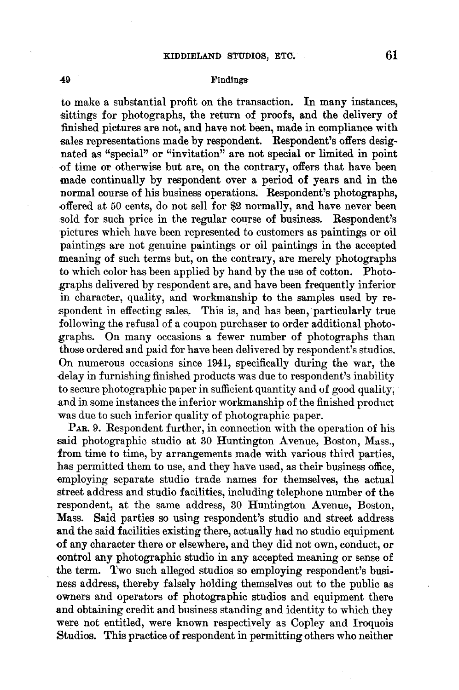## **-49** Findings

to make a substantial profit on the transaction. In many instances, sittings for photographs, the return of proofs, and the delivery of finished pictures are not, and have not been, made in compliance with sales representations made by respondent. Respondent's offers designated as "special" or "invitation" are not special or limited in point of time or otherwise but are, on the contrary, offers that have been made continually by respondent over a period of years and in the normal course of his business operations. Respondent's photographs, offered at 50 cents, do not sell for \$2 normally, and have never been sold for such price in the regular course of business. Respondent's -pictures which have been represented to customers as paintings or oil paintings are not genuine paintings or oil paintings in the accepted meaning of such terms but, on the contrary, are merely photographs to which color has been applied by hand by the use of cotton. Photographs delivered by respondent are, and have been frequently inferior in character, quality, and workmanship to the samples used by re spondent in effecting sales. This is, and has been, particularly true following the refusal of a coupon purchaser to order additional photographs. On many occasions a fewer number of photographs than those ordered and paid for have been delivered by respondent's studios. On numerous occasions since 1941, specifically during the war, the delay in furnishing finished products was due to respondent's inability to secure photographic paper in sufficient quantity and of good quality; and in some instances the inferior workmanship of the finished product was due to such inferior quality of photographic paper.

**PAR.** 9. Respondent further, in connection with the operation of his said photographic studio at 30 Huntington Avenue, Boston, Mass., from time to time, by arrangements made with various third parties, has permitted them to use, and they have used, as their business office, employing separate studio trade names for themselves, the actual street address and studio facilities, including telephone number of the respondent, at the same address, 30 Huntington Avenue, Boston, Mass. Said parties so using respondent's studio and street address and the said facilities existing there, actually had no studio equipment of any character there or elsewhere, and they did not own, conduct, or control any photographic studio in any accepted meaning or sense of the term. Two such alleged studios so employing respondent's business address, thereby falsely holding themselves out to the public as owners and operators of photographic studios and equipment there and obtaining credit and business standing and identity to which they were not entitled, were known respectively as Copley and Iroquois Studios. This practice of respondent in permitting others who neither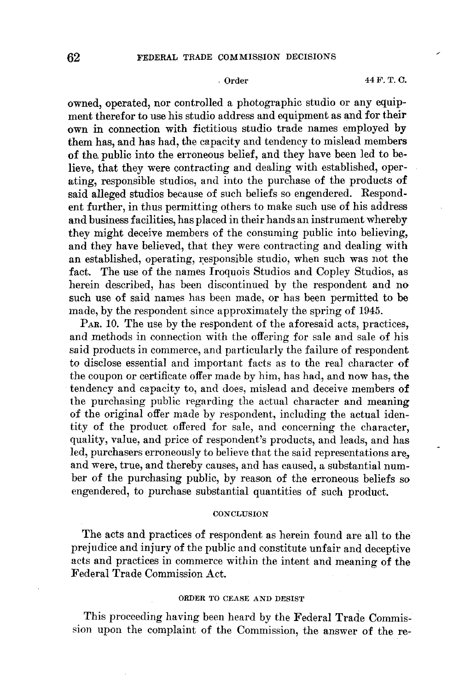owned, operated, nor controlled a photographic studio or any equipment therefor to use his studio address and equipment as and for their own in connection with fictitious studio trade names employed by them has, and has had, the capacity and tendency to mislead members of the, public into the erroneous belief, and they have been led to believe, that they were contracting and dealing with established, operating, responsible studios, and into the purchase of the products **of**  said alleged studios because of such beliefs so engendered. Respondent further, in thus permitting others to make such use of his address and business facilities, has placed in their hands an instrument whereby they might deceive members of the consuming public into believing, and they have believed, that they were contracting and dealing with an established, operating, responsible studio, when such was not the fact. The use of the names Iroquois Studios and Copley Studios, as herein described, has been discontinued by the respondent and no such use of said names has been made, or has been permitted to **be**  made, by the respondent since approximately the spring of 1945.

P<sub>AR</sub>. 10. The use by the respondent of the aforesaid acts, practices, and methods in connection with the offering for sale and sale of his said products in commerce, and particularly the failure of respondent to disclose essential and important facts as to the real character of the coupon or certificate offer made by him, has had, and now has, the tendency and capacity to, and does, mislead and deceive members of the purchasing public regarding the actual character and meaning of the original offer made by respondent, including the actual identity of the product offered for sale, and concerning the character, quality, value, and price of respondent's products, and leads, and has led, purchasers erroneously to believe that the said representations are, and were, true, and thereby causes, and has caused, a substantial number of the purchasing public, by reason of the erroneous beliefs so engendered, to purchase substantial quantities of such product.

### **CONCLUSION**

The acts and practices of respondent as herein found are all to the prejudice and injury of the public and constitute unfair and deceptive acts and practices in commerce within the intent and meaning of the Federal Trade Commission Act.

## ORDER TO CEASE AND DESIST

This proceeding having been heard by the Federal Trade Commission upon the complaint of the Commission, the answer of the re-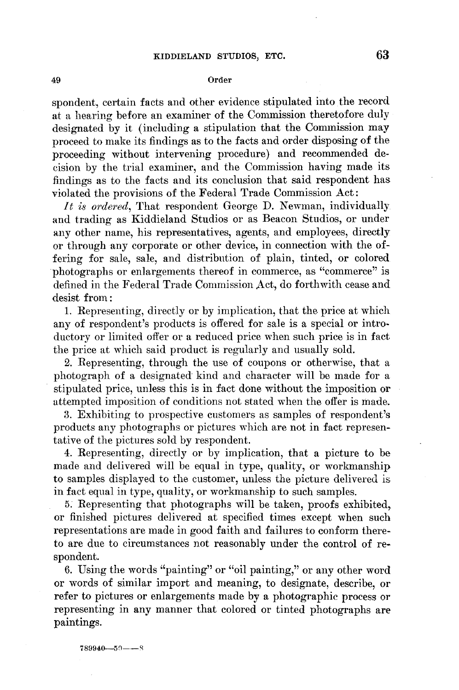#### 49 Order

spondent, certain facts and other evidence stipulated into the record at a hearing before an examiner of the Commission theretofore duly designated by it (including a stipulation that the Commission may proceed to make its findings as to the facts and order disposing of the proceeding without intervening procedure) and recommended decision by the trial examiner, and the Commission having made its findings as to the facts and its conclusion that said respondent has violated the provisions of the Federal Trade Commission Act:

*It is ordered,* That respondent George D. Newman, individually and trading as Kiddieland Studios or as Beacon Studios, or under any other name, his representatives, agents, and employees, directly or through any corporate or other device, in connection with the offering for sale, sale, and distribution of plain, tinted, or colored photographs or enlargements thereof in commerce, as "commerce" is defined in the Federal Trade Commission Act, do forthwith cease and desist from :

1. Representing, directly or by implication, that the price at which any of respondent's products is offered for sale is a special or introductory or limited offer or a reduced price when such price is in fact the price at which said product is regularly and usually sold.

2. Representing, through the use of coupons or otherwise, that a photograph of a designated kind and character will be made for a stipulated price, unless this is in fact done without the imposition or attempted imposition of conditions not stated when the offer is made.

3. Exhibiting to prospective customers as samples of respondent's products any photographs or pictures which are not in fact representative of the pictures sold by respondent.

4. Representing, directly or by implication, that a picture to be made and delivered will be equal in type, quality, or workmanship to samples displayed to the customer, unless the picture delivered is in fact equal in type, quality, or workmanship to such samples.

5. Representing that photographs will be taken, proofs exhibited,. or finished pictures delivered at specified times except when such representations are made in good faith and failures to conform thereto are due to circumstances not reasonably under the control of respondent.

6. Using the words "painting" or "oil painting," or any other word or words of similar import and meaning, to designate, describe, or refer to pictures or enlargements made by a photographic process or representing in any manner that colored or tinted photographs are paintings.

 $789940 - 50 - -8$